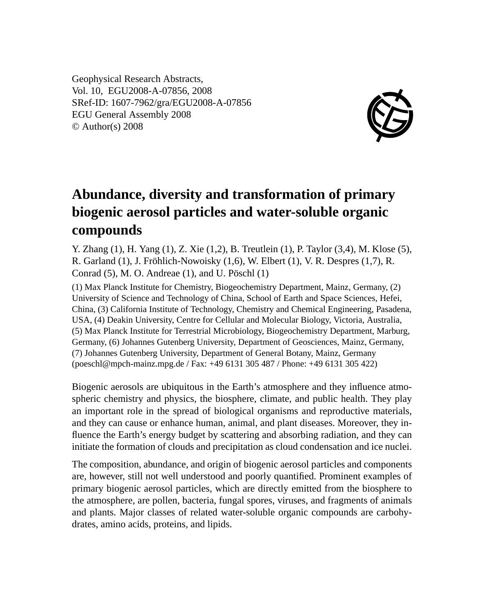Geophysical Research Abstracts, Vol. 10, EGU2008-A-07856, 2008 SRef-ID: 1607-7962/gra/EGU2008-A-07856 EGU General Assembly 2008 © Author(s) 2008



## **Abundance, diversity and transformation of primary biogenic aerosol particles and water-soluble organic compounds**

Y. Zhang (1), H. Yang (1), Z. Xie (1,2), B. Treutlein (1), P. Taylor (3,4), M. Klose (5), R. Garland (1), J. Fröhlich-Nowoisky (1,6), W. Elbert (1), V. R. Despres (1,7), R. Conrad (5), M. O. Andreae (1), and U. Pöschl (1)

(1) Max Planck Institute for Chemistry, Biogeochemistry Department, Mainz, Germany, (2) University of Science and Technology of China, School of Earth and Space Sciences, Hefei, China, (3) California Institute of Technology, Chemistry and Chemical Engineering, Pasadena, USA, (4) Deakin University, Centre for Cellular and Molecular Biology, Victoria, Australia, (5) Max Planck Institute for Terrestrial Microbiology, Biogeochemistry Department, Marburg, Germany, (6) Johannes Gutenberg University, Department of Geosciences, Mainz, Germany, (7) Johannes Gutenberg University, Department of General Botany, Mainz, Germany (poeschl@mpch-mainz.mpg.de / Fax: +49 6131 305 487 / Phone: +49 6131 305 422)

Biogenic aerosols are ubiquitous in the Earth's atmosphere and they influence atmospheric chemistry and physics, the biosphere, climate, and public health. They play an important role in the spread of biological organisms and reproductive materials, and they can cause or enhance human, animal, and plant diseases. Moreover, they influence the Earth's energy budget by scattering and absorbing radiation, and they can initiate the formation of clouds and precipitation as cloud condensation and ice nuclei.

The composition, abundance, and origin of biogenic aerosol particles and components are, however, still not well understood and poorly quantified. Prominent examples of primary biogenic aerosol particles, which are directly emitted from the biosphere to the atmosphere, are pollen, bacteria, fungal spores, viruses, and fragments of animals and plants. Major classes of related water-soluble organic compounds are carbohydrates, amino acids, proteins, and lipids.